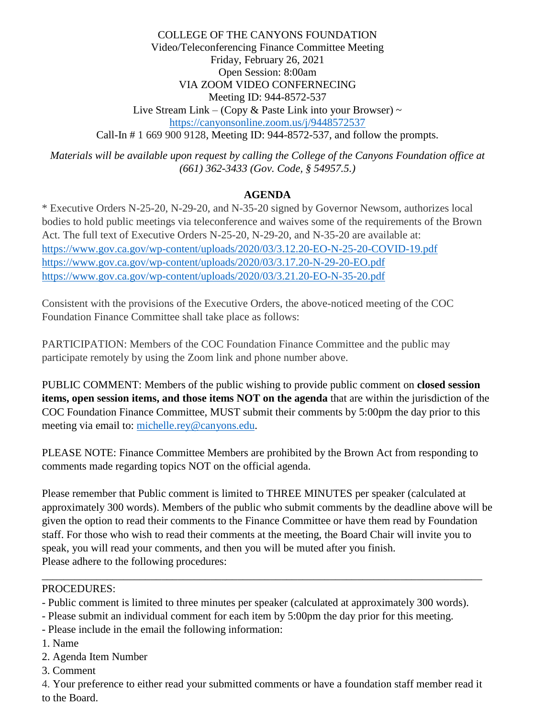COLLEGE OF THE CANYONS FOUNDATION Video/Teleconferencing Finance Committee Meeting Friday, February 26, 2021 Open Session: 8:00am VIA ZOOM VIDEO CONFERNECING Meeting ID: 944-8572-537 Live Stream Link – (Copy & Paste Link into your Browser)  $\sim$ <https://canyonsonline.zoom.us/j/9448572537> Call-In # 1 669 900 9128, Meeting ID: 944-8572-537, and follow the prompts.

*Materials will be available upon request by calling the College of the Canyons Foundation office at (661) 362-3433 (Gov. Code, § 54957.5.)*

## **AGENDA**

\* Executive Orders N-25-20, N-29-20, and N-35-20 signed by Governor Newsom, authorizes local bodies to hold public meetings via teleconference and waives some of the requirements of the Brown Act. The full text of Executive Orders N-25-20, N-29-20, and N-35-20 are available at: <https://www.gov.ca.gov/wp-content/uploads/2020/03/3.12.20-EO-N-25-20-COVID-19.pdf> <https://www.gov.ca.gov/wp-content/uploads/2020/03/3.17.20-N-29-20-EO.pdf> <https://www.gov.ca.gov/wp-content/uploads/2020/03/3.21.20-EO-N-35-20.pdf>

Consistent with the provisions of the Executive Orders, the above-noticed meeting of the COC Foundation Finance Committee shall take place as follows:

PARTICIPATION: Members of the COC Foundation Finance Committee and the public may participate remotely by using the Zoom link and phone number above.

PUBLIC COMMENT: Members of the public wishing to provide public comment on **closed session items, open session items, and those items NOT on the agenda** that are within the jurisdiction of the COC Foundation Finance Committee, MUST submit their comments by 5:00pm the day prior to this meeting via email to: [michelle.rey@canyons.edu.](mailto:michelle.rey@canyons.edu)

PLEASE NOTE: Finance Committee Members are prohibited by the Brown Act from responding to comments made regarding topics NOT on the official agenda.

Please remember that Public comment is limited to THREE MINUTES per speaker (calculated at approximately 300 words). Members of the public who submit comments by the deadline above will be given the option to read their comments to the Finance Committee or have them read by Foundation staff. For those who wish to read their comments at the meeting, the Board Chair will invite you to speak, you will read your comments, and then you will be muted after you finish. Please adhere to the following procedures:

### PROCEDURES:

- Public comment is limited to three minutes per speaker (calculated at approximately 300 words).

\_\_\_\_\_\_\_\_\_\_\_\_\_\_\_\_\_\_\_\_\_\_\_\_\_\_\_\_\_\_\_\_\_\_\_\_\_\_\_\_\_\_\_\_\_\_\_\_\_\_\_\_\_\_\_\_\_\_\_\_\_\_\_\_\_\_\_\_\_\_\_\_\_\_\_\_\_\_\_\_\_

- Please submit an individual comment for each item by 5:00pm the day prior for this meeting.
- Please include in the email the following information:
- 1. Name
- 2. Agenda Item Number
- 3. Comment

4. Your preference to either read your submitted comments or have a foundation staff member read it to the Board.